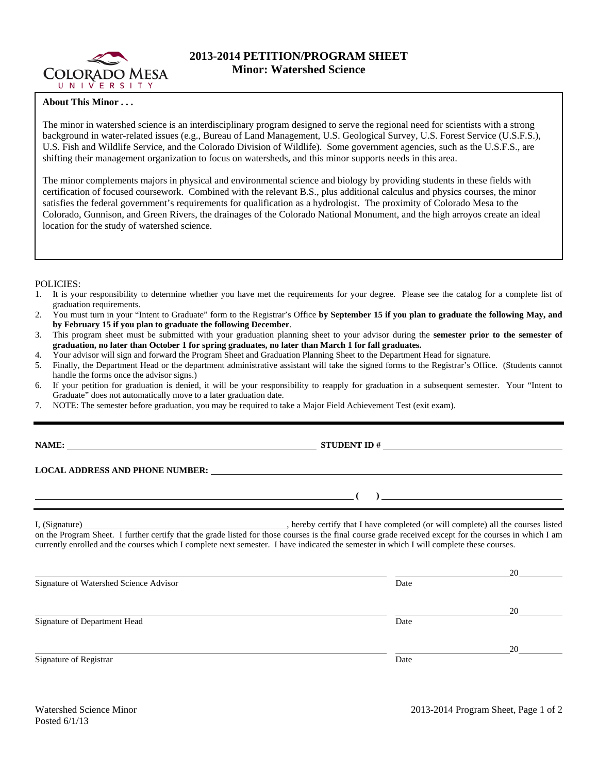

## **2013-2014 PETITION/PROGRAM SHEET Minor: Watershed Science**

## **About This Minor . . .**

The minor in watershed science is an interdisciplinary program designed to serve the regional need for scientists with a strong background in water-related issues (e.g., Bureau of Land Management, U.S. Geological Survey, U.S. Forest Service (U.S.F.S.), U.S. Fish and Wildlife Service, and the Colorado Division of Wildlife). Some government agencies, such as the U.S.F.S., are shifting their management organization to focus on watersheds, and this minor supports needs in this area.

The minor complements majors in physical and environmental science and biology by providing students in these fields with certification of focused coursework. Combined with the relevant B.S., plus additional calculus and physics courses, the minor satisfies the federal government's requirements for qualification as a hydrologist. The proximity of Colorado Mesa to the Colorado, Gunnison, and Green Rivers, the drainages of the Colorado National Monument, and the high arroyos create an ideal location for the study of watershed science.

## POLICIES:

- 1. It is your responsibility to determine whether you have met the requirements for your degree. Please see the catalog for a complete list of graduation requirements.
- 2. You must turn in your "Intent to Graduate" form to the Registrar's Office **by September 15 if you plan to graduate the following May, and by February 15 if you plan to graduate the following December**.
- 3. This program sheet must be submitted with your graduation planning sheet to your advisor during the **semester prior to the semester of graduation, no later than October 1 for spring graduates, no later than March 1 for fall graduates.**
- 4. Your advisor will sign and forward the Program Sheet and Graduation Planning Sheet to the Department Head for signature.
- 5. Finally, the Department Head or the department administrative assistant will take the signed forms to the Registrar's Office. (Students cannot handle the forms once the advisor signs.)
- 6. If your petition for graduation is denied, it will be your responsibility to reapply for graduation in a subsequent semester. Your "Intent to Graduate" does not automatically move to a later graduation date.
- 7. NOTE: The semester before graduation, you may be required to take a Major Field Achievement Test (exit exam).

**LOCAL ADDRESS AND PHONE NUMBER:**

 **( )** 

**NAMES IN STUDENT ID #** 

I, (Signature) , hereby certify that I have completed (or will complete) all the courses listed on the Program Sheet. I further certify that the grade listed for those courses is the final course grade received except for the courses in which I am currently enrolled and the courses which I complete next semester. I have indicated the semester in which I will complete these courses.

|                                        |      | 20 |
|----------------------------------------|------|----|
| Signature of Watershed Science Advisor | Date |    |
|                                        |      | 20 |
| Signature of Department Head           | Date |    |
|                                        |      | 20 |
| Signature of Registrar                 | Date |    |